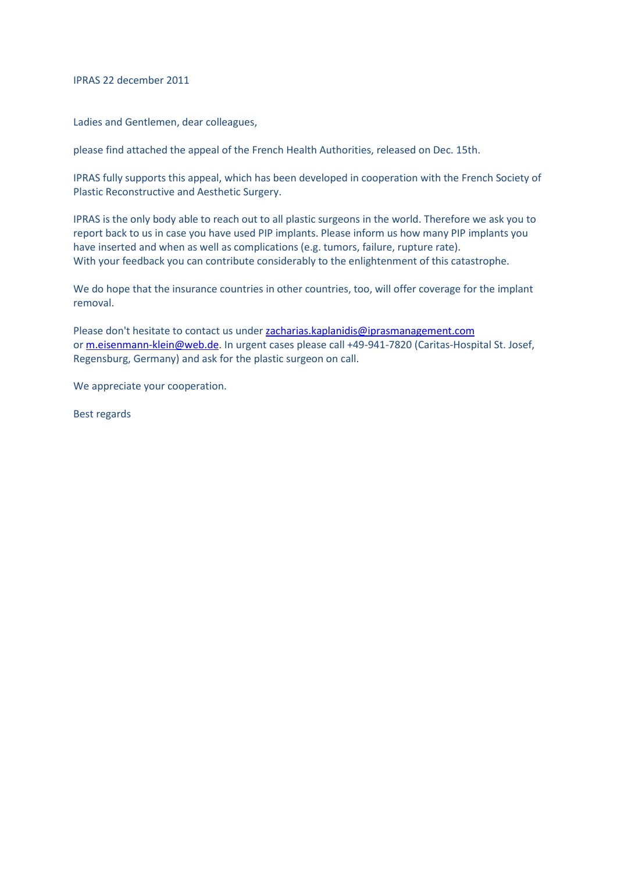IPRAS 22 december 2011

Ladies and Gentlemen, dear colleagues,

please find attached the appeal of the French Health Authorities, released on Dec. 15th.

IPRAS fully supports this appeal, which has been developed in cooperation with the French Society of Plastic Reconstructive and Aesthetic Surgery.

IPRAS is the only body able to reach out to all plastic surgeons in the world. Therefore we ask you to report back to us in case you have used PIP implants. Please inform us how many PIP implants you have inserted and when as well as complications (e.g. tumors, failure, rupture rate). With your feedback you can contribute considerably to the enlightenment of this catastrophe.

We do hope that the insurance countries in other countries, too, will offer coverage for the implant removal.

Please don't hesitate to contact us unde[r zacharias.kaplanidis@iprasmanagement.com](mailto:zacharias.kaplanidis@iprasmanagement.com) or [m.eisenmann-klein@web.de.](mailto:m.eisenmann-klein@web.de) In urgent cases please call +49-941-7820 (Caritas-Hospital St. Josef, Regensburg, Germany) and ask for the plastic surgeon on call.

We appreciate your cooperation.

Best regards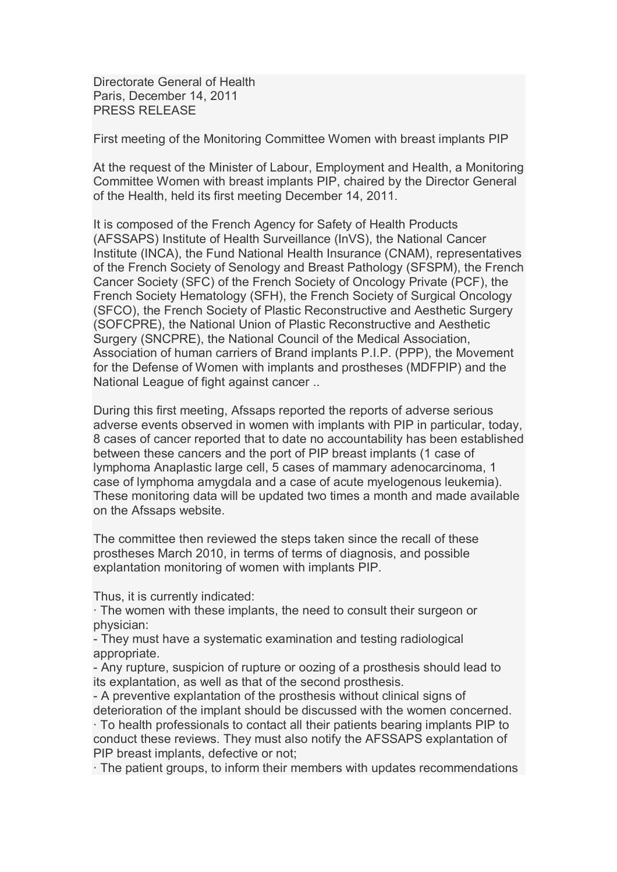Directorate General of Health Paris, December 14, 2011 PRESS RELEASE

First meeting of the Monitoring Committee Women with breast implants PIP

At the request of the Minister of Labour, Employment and Health, a Monitoring Committee Women with breast implants PIP, chaired by the Director General of the Health, held its first meeting December 14, 2011.

It is composed of the French Agency for Safety of Health Products (AFSSAPS) Institute of Health Surveillance (InVS), the National Cancer Institute (INCA), the Fund National Health Insurance (CNAM), representatives of the French Society of Senology and Breast Pathology (SFSPM), the French Cancer Society (SFC) of the French Society of Oncology Private (PCF), the French Society Hematology (SFH), the French Society of Surgical Oncology (SFCO), the French Society of Plastic Reconstructive and Aesthetic Surgery (SOFCPRE), the National Union of Plastic Reconstructive and Aesthetic Surgery (SNCPRE), the National Council of the Medical Association, Association of human carriers of Brand implants P.I.P. (PPP), the Movement for the Defense of Women with implants and prostheses (MDFPIP) and the National League of fight against cancer ..

During this first meeting, Afssaps reported the reports of adverse serious adverse events observed in women with implants with PIP in particular, today, 8 cases of cancer reported that to date no accountability has been established between these cancers and the port of PIP breast implants (1 case of lymphoma Anaplastic large cell, 5 cases of mammary adenocarcinoma, 1 case of lymphoma amygdala and a case of acute myelogenous leukemia). These monitoring data will be updated two times a month and made available on the Afssaps website.

The committee then reviewed the steps taken since the recall of these prostheses March 2010, in terms of terms of diagnosis, and possible explantation monitoring of women with implants PIP.

Thus, it is currently indicated:

· The women with these implants, the need to consult their surgeon or physician:

- They must have a systematic examination and testing radiological appropriate.

- Any rupture, suspicion of rupture or oozing of a prosthesis should lead to its explantation, as well as that of the second prosthesis.

- A preventive explantation of the prosthesis without clinical signs of deterioration of the implant should be discussed with the women concerned. · To health professionals to contact all their patients bearing implants PIP to conduct these reviews. They must also notify the AFSSAPS explantation of PIP breast implants, defective or not;

· The patient groups, to inform their members with updates recommendations